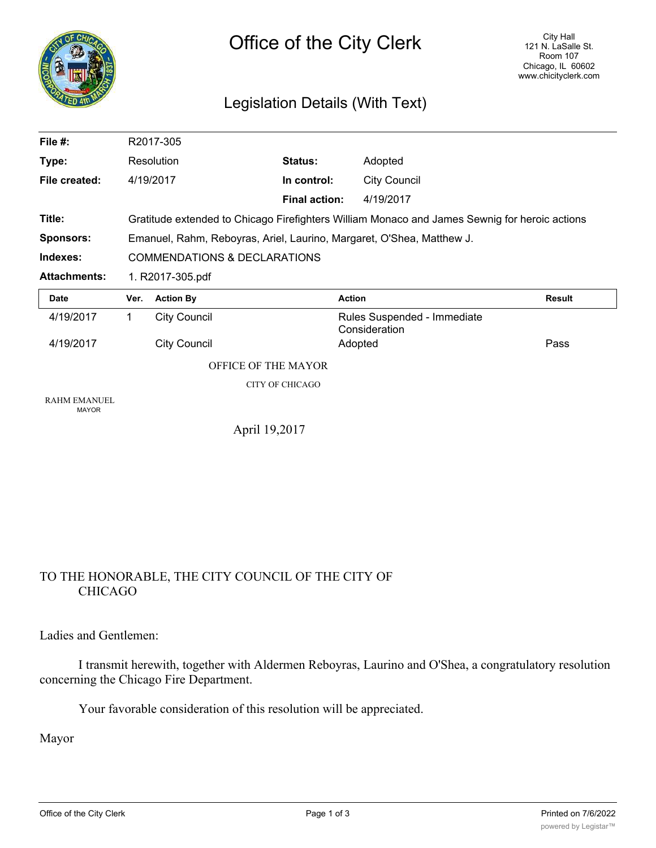

# Legislation Details (With Text)

| File #:                             |                                                                                               | R2017-305                                                             |                        |                                              |               |  |
|-------------------------------------|-----------------------------------------------------------------------------------------------|-----------------------------------------------------------------------|------------------------|----------------------------------------------|---------------|--|
| Type:                               |                                                                                               | Resolution                                                            | Status:                | Adopted                                      |               |  |
| File created:                       |                                                                                               | 4/19/2017                                                             | In control:            | <b>City Council</b>                          |               |  |
|                                     |                                                                                               |                                                                       | <b>Final action:</b>   | 4/19/2017                                    |               |  |
| Title:                              | Gratitude extended to Chicago Firefighters William Monaco and James Sewnig for heroic actions |                                                                       |                        |                                              |               |  |
| <b>Sponsors:</b>                    |                                                                                               | Emanuel, Rahm, Reboyras, Ariel, Laurino, Margaret, O'Shea, Matthew J. |                        |                                              |               |  |
| Indexes:                            |                                                                                               | <b>COMMENDATIONS &amp; DECLARATIONS</b>                               |                        |                                              |               |  |
| <b>Attachments:</b>                 | 1. R2017-305.pdf                                                                              |                                                                       |                        |                                              |               |  |
|                                     |                                                                                               |                                                                       |                        |                                              |               |  |
| <b>Date</b>                         | Ver.                                                                                          | <b>Action By</b>                                                      | <b>Action</b>          |                                              | <b>Result</b> |  |
| 4/19/2017                           | 1.                                                                                            | <b>City Council</b>                                                   |                        | Rules Suspended - Immediate<br>Consideration |               |  |
| 4/19/2017                           |                                                                                               | <b>City Council</b>                                                   |                        | Adopted                                      | Pass          |  |
|                                     |                                                                                               | <b>OFFICE OF THE MAYOR</b>                                            |                        |                                              |               |  |
|                                     |                                                                                               |                                                                       | <b>CITY OF CHICAGO</b> |                                              |               |  |
| <b>RAHM EMANUEL</b><br><b>MAYOR</b> |                                                                                               |                                                                       |                        |                                              |               |  |

## TO THE HONORABLE, THE CITY COUNCIL OF THE CITY OF CHICAGO

Ladies and Gentlemen:

I transmit herewith, together with Aldermen Reboyras, Laurino and O'Shea, a congratulatory resolution concerning the Chicago Fire Department.

Your favorable consideration of this resolution will be appreciated.

Mayor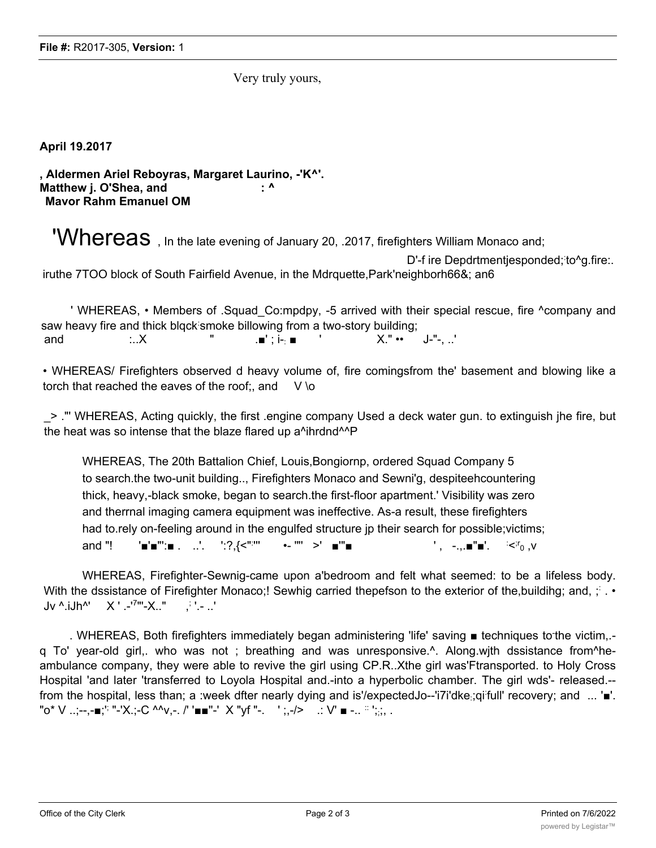Very truly yours,

**April 19.2017**

**, Aldermen Ariel Reboyras, Margaret Laurino, -'K^'. Matthew j. O'Shea, and : ^ Mavor Rahm Emanuel OM**

'Whereas, In the late evening of January 20, .2017, firefighters William Monaco and; D'-f ire Depdrtmentjesponded; to^g.fire:. iruthe 7TOO block of South Fairfield Avenue, in the Mdrquette,Park'neighborh66&; an6

' WHEREAS, • Members of .Squad\_Co:mpdpy, -5 arrived with their special rescue, fire ^company and saw heavy fire and thick blqck smoke billowing from a two-story building; and :..X " .■' ; i-: ■ ' X." •• J-"-, ..'

• WHEREAS/ Firefighters observed d heavy volume of, fire comingsfrom the' basement and blowing like a torch that reached the eaves of the roof;, and  $V \ o$ 

\_> ."' WHEREAS, Acting quickly, the first .engine company Used a deck water gun. to extinguish jhe fire, but the heat was so intense that the blaze flared up a<sup>^</sup>ihrdnd<sup>^^</sup>P

WHEREAS, The 20th Battalion Chief, Louis,Bongiornp, ordered Squad Company 5 to search.the two-unit building.., Firefighters Monaco and Sewni'g, despiteehcountering thick, heavy,-black smoke, began to search.the first-floor apartment.' Visibility was zero and therrnal imaging camera equipment was ineffective. As-a result, these firefighters had to.rely on-feeling around in the engulfed structure jp their search for possible;victims; and "!  $\blacksquare \blacksquare \blacksquare \blacksquare$  . ...'. ':?, {<":"' ''' •- '"' >' ■'"■ ' , -.,.■"■'. :  $\leq$ <sup>r</sup><sub>0</sub>  $\leq$ 

WHEREAS, Firefighter-Sewnig-came upon a'bedroom and felt what seemed: to be a lifeless body. With the dssistance of Firefighter Monaco;! Sewhig carried thepefson to the exterior of the,buildihg; and, ; : . • Jv ^.iJh^' X ' .-'7"'-X.." ,; '.- ..'

. WHEREAS, Both firefighters immediately began administering 'life' saving ■ techniques to the victim,.q To' year-old girl,. who was not ; breathing and was unresponsive.^. Along.wjth dssistance from^heambulance company, they were able to revive the girl using CP.R..Xthe girl was'Ftransported. to Holy Cross Hospital 'and later 'transferred to Loyola Hospital and.-into a hyperbolic chamber. The girl wds'- released.- from the hospital, less than; a :week dfter nearly dying and is'/expectedJo--'i7i'dke;qi<sup>:</sup>full' recovery; and ... '■'. "o\* V ..;--,-∎;'<sup>;</sup> "-'X.;-C ^^v,-. /' '■■''-' × "yf ''-. ' ;,-/> .: V' ■ -.. <sup>∷ ,</sup>;;, .